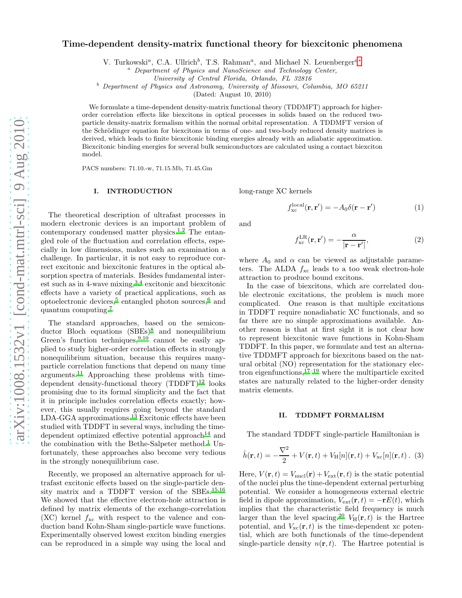# Time-dependent density-matrix functional theory for biexcitonic phenomena

V. Turkowski<sup>a</sup>, C.A. Ullrich<sup>b</sup>, T.S. Rahman<sup>a</sup>, and Michael N. Leuenberger<sup>a\*</sup>

 $a$  Department of Physics and NanoScience and Technology Center,

University of Central Florida, Orlando, FL 32816

<sup>b</sup> Department of Physics and Astronomy, University of Missouri, Columbia, MO 65211

(Dated: August 10, 2010)

We formulate a time-dependent density-matrix functional theory (TDDMFT) approach for higherorder correlation effects like biexcitons in optical processes in solids based on the reduced twoparticle density-matrix formalism within the normal orbital representation. A TDDMFT version of the Schrödinger equation for biexcitons in terms of one- and two-body reduced density matrices is derived, which leads to finite biexcitonic binding energies already with an adiabatic approximation. Biexcitonic binding energies for several bulk semiconductors are calculated using a contact biexciton model.

PACS numbers: 71.10.-w, 71.15.Mb, 71.45.Gm

### I. INTRODUCTION

The theoretical description of ultrafast processes in modern electronic devices is an important problem of contemporary condensed matter physics.<sup>[1](#page-5-1)[,2](#page-5-2)</sup> The entangled role of the fluctuation and correlation effects, especially in low dimensions, makes such an examination a challenge. In particular, it is not easy to reproduce correct excitonic and biexcitonic features in the optical absorption spectra of materials. Besides fundamental interest such as in 4-wave mixing, $3,4$  $3,4$  excitonic and biexcitonic effects have a variety of practical applications, such as optoelectronic devices,[5](#page-5-5) entangled photon sources,[6](#page-5-6) and quantum computing.[7](#page-5-7)

The standard approaches, based on the semicon-ductor Bloch equations (SBEs)<sup>[8](#page-5-8)</sup> and nonequilibrium Green's function techniques,  $9,10$  $9,10$  cannot be easily applied to study higher-order correlation effects in strongly nonequilibrium situation, because this requires manyparticle correlation functions that depend on many time arguments.[11](#page-5-11) Approaching these problems with timedependent density-functional theory  $(TDDFT)^{12}$  $(TDDFT)^{12}$  $(TDDFT)^{12}$  looks promising due to its formal simplicity and the fact that it in principle includes correlation effects exactly; however, this usually requires going beyond the standard LDA-GGA approximations.[13](#page-5-13) Excitonic effects have been studied with TDDFT in several ways, including the time-dependent optimized effective potential approach<sup>[14](#page-5-14)</sup> and the combination with the Bethe-Salpeter method.<sup>[1](#page-5-1)</sup> Unfortunately, these approaches also become very tedious in the strongly nonequilibrium case.

Recently, we proposed an alternative approach for ultrafast excitonic effects based on the single-particle den-sity matrix and a TDDFT version of the SBEs.<sup>[15](#page-5-15)[,16](#page-5-16)</sup> We showed that the effective electron-hole attraction is defined by matrix elements of the exchange-correlation  $(XC)$  kernel  $f_{\text{xc}}$  with respect to the valence and conduction band Kohn-Sham single-particle wave functions. Experimentally observed lowest exciton binding energies can be reproduced in a simple way using the local and long-range XC kernels

<span id="page-0-1"></span>
$$
f_{\rm xc}^{\rm local}(\mathbf{r}, \mathbf{r}') = -A_0 \delta(\mathbf{r} - \mathbf{r}')
$$
 (1)

and

$$
f_{\rm xc}^{\rm LR}(\mathbf{r}, \mathbf{r}') = -\frac{\alpha}{|\mathbf{r} - \mathbf{r}'|},\tag{2}
$$

where  $A_0$  and  $\alpha$  can be viewed as adjustable parameters. The ALDA  $f_{\text{xc}}$  leads to a too weak electron-hole attraction to produce bound excitons.

In the case of biexcitons, which are correlated double electronic excitations, the problem is much more complicated. One reason is that multiple excitations in TDDFT require nonadiabatic XC functionals, and so far there are no simple approximations available. Another reason is that at first sight it is not clear how to represent biexcitonic wave functions in Kohn-Sham TDDFT. In this paper, we formulate and test an alternative TDDMFT approach for biexcitons based on the natural orbital (NO) representation for the stationary electron eigenfunctions,  $17-19$  $17-19$  where the multiparticle excited states are naturally related to the higher-order density matrix elements.

# II. TDDMFT FORMALISM

The standard TDDFT single-particle Hamiltonian is

<span id="page-0-0"></span>
$$
\hat{h}(\mathbf{r},t) = -\frac{\nabla^2}{2} + V(\mathbf{r},t) + V_{\rm H}[n](\mathbf{r},t) + V_{\rm xc}[n](\mathbf{r},t) \ . \ (3)
$$

Here,  $V(\mathbf{r}, t) = V_{\text{nucl}}(\mathbf{r}) + V_{\text{ext}}(\mathbf{r}, t)$  is the static potential of the nuclei plus the time-dependent external perturbing potential. We consider a homogeneous external electric field in dipole approximation,  $V_{ext}(\mathbf{r}, t) = -\mathbf{r}E(t)$ , which implies that the characteristic field frequency is much larger than the level spacing.<sup>[20](#page-5-19)</sup>  $V_H(\mathbf{r}, t)$  is the Hartree potential, and  $V_{\text{xc}}(\mathbf{r}, t)$  is the time-dependent xc potential, which are both functionals of the time-dependent single-particle density  $n(\mathbf{r}, t)$ . The Hartree potential is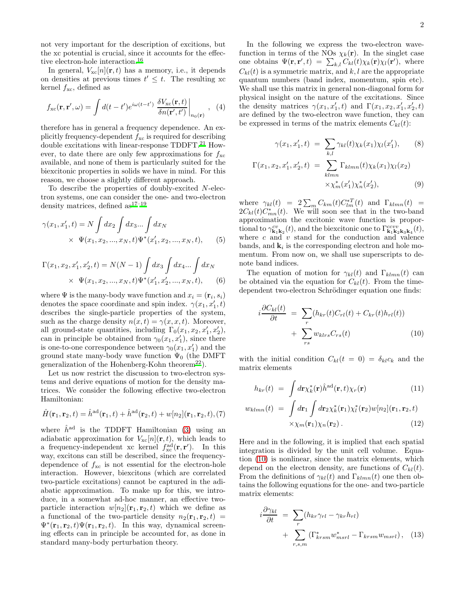not very important for the description of excitions, but the xc potential is crucial, since it accounts for the effec-tive electron-hole interaction.<sup>[16](#page-5-16)</sup>

In general,  $V_{\text{xc}}[n](\mathbf{r}, t)$  has a memory, i.e., it depends on densities at previous times  $t' \leq t$ . The resulting xc kernel  $f_{\text{xc}}$ , defined as

$$
f_{\rm xc}(\mathbf{r}, \mathbf{r}', \omega) = \int d(t - t') e^{i\omega(t - t')} \left. \frac{\delta V_{\rm xc}(\mathbf{r}, t)}{\delta n(\mathbf{r}', t')} \right|_{n_0(\mathbf{r})}, \tag{4}
$$

therefore has in general a frequency dependence. An explicitly frequency-dependent  $f_{\text{xc}}$  is required for describing double excitations with linear-response TDDFT.<sup>[21](#page-5-20)</sup> However, to date there are only few approximations for  $f_{\text{xc}}$ available, and none of them is particularly suited for the biexcitonic properties in solids we have in mind. For this reason, we choose a slightly different approach.

To describe the properties of doubly-excited N-electron systems, one can consider the one- and two-electron density matrices, defined  $as^{17-19}$  $as^{17-19}$  $as^{17-19}$ 

$$
\gamma(x_1, x_1', t) = N \int dx_2 \int dx_3 \dots \int dx_N
$$
  
 
$$
\times \Psi(x_1, x_2, ..., x_N, t) \Psi^*(x_1', x_2, ..., x_N, t),
$$
 (5)

$$
\Gamma(x_1, x_2, x'_1, x'_2, t) = N(N - 1) \int dx_3 \int dx_4 ... \int dx_N
$$
  
 
$$
\times \Psi(x_1, x_2, ..., x_N, t) \Psi^*(x'_1, x'_2, ..., x_N, t),
$$
 (6)

where  $\Psi$  is the many-body wave function and  $x_i = (\mathbf{r}_i, s_i)$ denotes the space coordinate and spin index.  $\gamma(x_1, x'_1, t)$ describes the single-particle properties of the system, such as the charge density  $n(x,t) = \gamma(x, x, t)$ . Moreover, all ground-state quantities, including  $\Gamma_0(x_1, x_2, x_1', x_2'),$ can in principle be obtained from  $\gamma_0(x_1, x'_1)$ , since there is one-to-one correspondence between  $\gamma_0(x_1, x_1')$  and the ground state many-body wave function  $\Psi_0$  (the DMFT generalization of the Hohenberg-Kohn theorem<sup>[22](#page-5-21)</sup>).

Let us now restrict the discussion to two-electron systems and derive equations of motion for the density matrices. We consider the following effective two-electron Hamiltonian:

<span id="page-1-2"></span>
$$
\hat{H}(\mathbf{r}_1, \mathbf{r}_2, t) = \hat{h}^{\text{ad}}(\mathbf{r}_1, t) + \hat{h}^{\text{ad}}(\mathbf{r}_2, t) + w[n_2](\mathbf{r}_1, \mathbf{r}_2, t), (7)
$$

where  $\hat{h}^{\text{ad}}$  is the TDDFT Hamiltonian [\(3\)](#page-0-0) using an adiabatic approximation for  $V_{\text{xc}}[n](\mathbf{r}, t)$ , which leads to a frequency-independent xc kernel  $f_{\text{xc}}^{\text{ad}}(\mathbf{r}, \mathbf{r}')$ . In this way, excitons can still be described, since the frequencydependence of  $f_{\text{xc}}$  is not essential for the electron-hole interaction. However, biexcitons (which are correlated two-particle excitations) cannot be captured in the adiabatic approximation. To make up for this, we introduce, in a somewhat ad-hoc manner, an effective twoparticle interaction  $w[n_2](\mathbf{r}_1, \mathbf{r}_2, t)$  which we define as a functional of the two-particle density  $n_2(\mathbf{r}_1, \mathbf{r}_2, t)$  $\Psi^*(\mathbf{r}_1, \mathbf{r}_2, t) \Psi(\mathbf{r}_1, \mathbf{r}_2, t)$ . In this way, dynamical screening effects can in principle be accounted for, as done in standard many-body perturbation theory.

In the following we express the two-electron wavefunction in terms of the NOs  $\chi_k(\mathbf{r})$ . In the singlet case one obtains  $\Psi(\mathbf{r}, \mathbf{r}', t) = \sum_{k,l} C_{kl}(t) \chi_k(\mathbf{r}) \chi_l(\mathbf{r}'),$  where  $C_{kl}(t)$  is a symmetric matrix, and k, l are the appropriate quantum numbers (band index, momentum, spin etc). We shall use this matrix in general non-diagonal form for physical insight on the nature of the excitations. Since the density matrices  $\gamma(x_1, x'_1, t)$  and  $\Gamma(x_1, x_2, x'_1, x'_2, t)$ are defined by the two-electron wave function, they can be expressed in terms of the matrix elements  $C_{kl}(t)$ :

$$
\gamma(x_1, x_1', t) = \sum_{k,l} \gamma_{kl}(t) \chi_k(x_1) \chi_l(x_1'), \qquad (8)
$$

$$
\Gamma(x_1, x_2, x_1', x_2', t) = \sum_{klmn} \Gamma_{klmn}(t) \chi_k(x_1) \chi_l(x_2)
$$

$$
\times \chi_m^*(x_1') \chi_n^*(x_2'), \qquad (9)
$$

2

where  $\gamma_{kl}(t) = 2 \sum_m C_{km}(t) C_{lm}^{*T}(t)$  and  $\Gamma_{klmn}(t)$  =  $2C_{kl}(t)C_{mn}^*(t)$ . We will soon see that in the two-band approximation the excitonic wave function is proportional to  $\gamma_{\mathbf{k}_1\mathbf{k}_2}^{cv}(t)$ , and the biexcitonic one to  $\Gamma_{\mathbf{k}_1\mathbf{k}_2\mathbf{k}_3\mathbf{k}_4}^{ccvv}(t)$ , where  $c$  and  $v$  stand for the conduction and valence bands, and  $\mathbf{k}_i$  is the corresponding electron and hole momentum. From now on, we shall use superscripts to denote band indices.

The equation of motion for  $\gamma_{kl}(t)$  and  $\Gamma_{klmn}(t)$  can be obtained via the equation for  $C_{kl}(t)$ . From the timedependent two-electron Schrödinger equation one finds:

<span id="page-1-0"></span>
$$
i\frac{\partial C_{kl}(t)}{\partial t} = \sum_{r} (h_{kr}(t)C_{rl}(t) + C_{kr}(t)h_{rl}(t)) + \sum_{rs} w_{klrs}C_{rs}(t)
$$
\n(10)

with the initial condition  $C_{kl}(t = 0) = \delta_{kl}c_k$  and the matrix elements

$$
h_{kr}(t) = \int d\mathbf{r} \chi_k^*(\mathbf{r}) \hat{h}^{\rm ad}(\mathbf{r},t) \chi_r(\mathbf{r}) \tag{11}
$$

$$
w_{klmn}(t) = \int d\mathbf{r}_1 \int d\mathbf{r}_2 \chi_k^*(\mathbf{r}_1) \chi_l^*(\mathbf{r}_2) w[n_2](\mathbf{r}_1, \mathbf{r}_2, t)
$$
  
 
$$
\times \chi_m(\mathbf{r}_1) \chi_n(\mathbf{r}_2).
$$
 (12)

Here and in the following, it is implied that each spatial integration is divided by the unit cell volume. Equation [\(10\)](#page-1-0) is nonlinear, since the matrix elements, which depend on the electron density, are functions of  $C_{kl}(t)$ . From the definitions of  $\gamma_{kl}(t)$  and  $\Gamma_{klmn}(t)$  one then obtains the following equations for the one- and two-particle matrix elements:

<span id="page-1-1"></span>
$$
i\frac{\partial \gamma_{kl}}{\partial t} = \sum_{r} (h_{kr}\gamma_{rl} - \gamma_{kr}h_{rl}) + \sum_{r,s,m} (\Gamma_{krsm}^* w_{msrl}^* - \Gamma_{krsm} w_{msrl}), \quad (13)
$$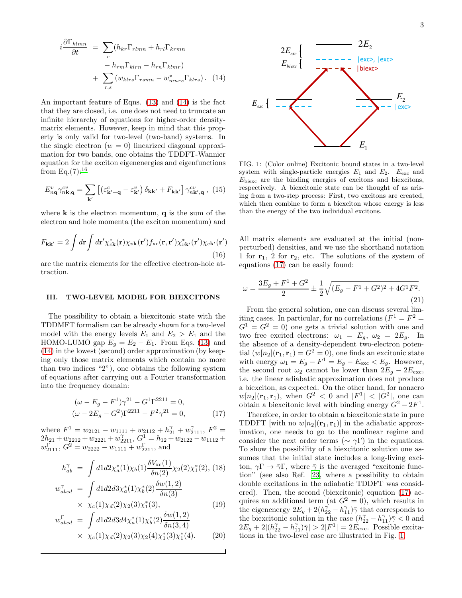<span id="page-2-0"></span>An important feature of Eqns. [\(13\)](#page-1-1) and [\(14\)](#page-2-0) is the fact that they are closed, i.e. one does not need to truncate an infinite hierarchy of equations for higher-order densitymatrix elements. However, keep in mind that this property is only valid for two-level (two-band) systems. In the single electron  $(w = 0)$  linearized diagonal approximation for two bands, one obtains the TDDFT-Wannier equation for the exciton eigenenergies and eigenfunctions from  $Eq.(7):^{16}$  $Eq.(7):^{16}$  $Eq.(7):^{16}$ 

<span id="page-2-3"></span>
$$
E_{n\mathbf{q}}^{v}\gamma_{n\mathbf{k},\mathbf{q}}^{cv} = \sum_{\mathbf{k}'} \left[ \left( \varepsilon_{\mathbf{k'}+\mathbf{q}}^{c} - \varepsilon_{\mathbf{k'}}^{v} \right) \delta_{\mathbf{k}\mathbf{k'}} + F_{\mathbf{k}\mathbf{k'}} \right] \gamma_{n\mathbf{k'},\mathbf{q}}^{cv} , \tag{15}
$$

where  $\bf{k}$  is the electron momentum,  $\bf{q}$  is the sum of the electron and hole momenta (the exciton momentum) and

$$
F_{\mathbf{k}\mathbf{k'}} = 2 \int d\mathbf{r} \int d\mathbf{r'} \chi_{c\mathbf{k}}^*(\mathbf{r}) \chi_{v\mathbf{k}}(\mathbf{r'}) f_{\rm xc}(\mathbf{r}, \mathbf{r'}) \chi_{v\mathbf{k'}}^*(\mathbf{r'}) \chi_{c\mathbf{k'}}(\mathbf{r'})
$$
\n(16)

are the matrix elements for the effective electron-hole attraction.

#### III. TWO-LEVEL MODEL FOR BIEXCITONS

The possibility to obtain a biexcitonic state with the TDDMFT formalism can be already shown for a two-level model with the energy levels  $E_1$  and  $E_2 > E_1$  and the HOMO-LUMO gap  $E_g = E_2 - E_1$ . From Eqs. [\(13\)](#page-1-1) and [\(14\)](#page-2-0) in the lowest (second) order approximation (by keeping only those matrix elements which contain no more than two indices "2"), one obtains the following system of equations after carrying out a Fourier transformation into the frequency domain:

<span id="page-2-1"></span>
$$
(\omega - E_g - F^1)\gamma^{21} - G^1\Gamma^{2211} = 0,
$$
  

$$
(\omega - 2E_g - G^2)\Gamma^{2211} - F^2\gamma^{21} = 0,
$$
 (17)

where  $F^1 = w_{2121} - w_{1111} + w_{2112} + h_{21}^{\gamma} + w_{2111}^{\gamma}, F^2 =$  $2h_{21} + w_{2212} + w_{2221} + w_{2211}^7$ ,  $G_1^1 = h_{12} + w_{2122} - w_{1112} +$  $w_{2111}^{\Gamma}$ ,  $G^2 = w_{2222} - w_{1111} + w_{2211}^{\Gamma}$ , and

$$
h_{ab}^{\gamma} = \int d1 d2 \chi_a^*(1) \chi_b(1) \frac{\delta V_{\text{xc}}(1)}{\delta n(2)} \chi_2(2) \chi_1^*(2), \text{ (18)}
$$
  

$$
w_{abcd}^{\gamma} = \int d1 d2 d3 \chi_a^*(1) \chi_b^*(2) \frac{\delta w(1,2)}{\delta n(3)}
$$
  

$$
\times \chi_c(1) \chi_d(2) \chi_2(3) \chi_1^*(3), \text{ (19)}
$$

$$
w_{abcd}^{\Gamma} = \int d1d2d3d4 \chi_a^*(1) \chi_b^*(2) \frac{\delta w(1,2)}{\delta n(3,4)} \times \chi_c(1) \chi_d(2) \chi_2(3) \chi_2(4) \chi_1^*(3) \chi_1^*(4). \tag{20}
$$



<span id="page-2-2"></span>FIG. 1: (Color online) Excitonic bound states in a two-level system with single-particle energies  $E_1$  and  $E_2$ .  $E_{\text{exc}}$  and  $E<sub>biexc</sub>$  are the binding energies of excitons and biexcitons, respectively. A biexcitonic state can be thought of as arising from a two-step process: First, two excitons are created, which then combine to form a biexciton whose energy is less than the energy of the two individual excitons.

All matrix elements are evaluated at the initial (nonperturbed) densities, and we use the shorthand notation 1 for  $r_1$ , 2 for  $r_2$ , etc. The solutions of the system of equations [\(17\)](#page-2-1) can be easily found:

$$
\omega = \frac{3E_g + F^1 + G^2}{2} \pm \frac{1}{2} \sqrt{(E_g - F^1 + G^2)^2 + 4G^1 F^2}.
$$
\n(21)

From the general solution, one can discuss several limiting cases. In particular, for no correlations  $(F^1 = F^2 =$  $G^1 = G^2 = 0$  one gets a trivial solution with one and two free excited electrons:  $\omega_1 = E_g$ ,  $\omega_2 = 2E_g$ . In the absence of a density-dependent two-electron potential  $(w[n_2]({\bf r}_1,{\bf r}_1)=G^2=0)$ , one finds an excitonic state with energy  $\omega_1 = E_g - F^1 = E_g - E_{\text{exc}} < E_g$ . However, the second root  $\omega_2$  cannot be lower than  $2E_g - 2E_{\text{exc}}$ , i.e. the linear adiabatic approximation does not produce a biexciton, as expected. On the other hand, for nonzero  $w[n_2]$ ( $\mathbf{r}_1, \mathbf{r}_1$ ), when  $G^2 < 0$  and  $|F^1| < |G^2|$ , one can obtain a biexcitonic level with binding energy  $G^2 - 2F^1$ .

Therefore, in order to obtain a biexcitonic state in pure TDDFT [with no  $w[n_2]$ ( $\mathbf{r}_1$ , $\mathbf{r}_1$ )] in the adiabatic approximation, one needs to go to the nonlinear regime and consider the next order terms ( $\sim \gamma \Gamma$ ) in the equations. To show the possibility of a biexcitonic solution one assumes that the initial state includes a long-living exciton,  $\gamma \Gamma \to \bar{\gamma} \Gamma$ , where  $\bar{\gamma}$  is the averaged "excitonic function" (see also Ref. [23,](#page-5-22) where a possibility to obtain double excitations in the adiabatic TDDFT was considered). Then, the second (biexcitonic) equation [\(17\)](#page-2-1) acquires an additional term (at  $G^2 = 0$ ), which results in the eigenenergy  $2E_g + 2(h_{22}^{\gamma} - h_{11}^{\gamma})\bar{\gamma}$  that corresponds to the biexcitonic solution in the case  $(h_{22}^{\gamma} - h_{11}^{\gamma})\overline{\gamma} < 0$  and  $2E_g + 2|(h_{22}^{\gamma} - h_{11}^{\gamma})\bar{\gamma}| > 2|F^1| = 2E_{\text{exc}}^2$ . Possible excitations in the two-level case are illustrated in Fig. [1.](#page-2-2)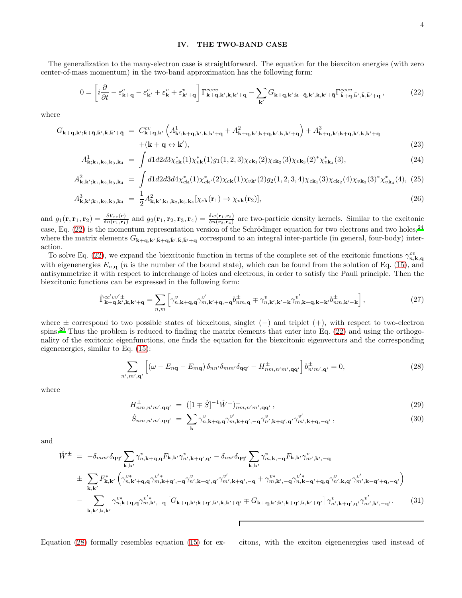## IV. THE TWO-BAND CASE

The generalization to the many-electron case is straightforward. The equation for the biexciton energies (with zero center-of-mass momentum) in the two-band approximation has the following form:

<span id="page-3-0"></span>
$$
0 = \left[ i \frac{\partial}{\partial t} - \varepsilon_{\mathbf{k}+\mathbf{q}}^c - \varepsilon_{\mathbf{k}'}^c + \varepsilon_{\mathbf{k}'}^v + \varepsilon_{\mathbf{k}'+\mathbf{q}}^v \right] \Gamma_{\mathbf{k}+\mathbf{q},\mathbf{k}',\mathbf{k},\mathbf{k}'+\mathbf{q}}^{ccvv} - \sum_{\mathbf{k}'} G_{\mathbf{k}+\mathbf{q},\mathbf{k}',\bar{\mathbf{k}}+\bar{\mathbf{q}},\bar{\mathbf{k}}',\bar{\mathbf{k}},\bar{\mathbf{k}}'+\bar{\mathbf{q}}} \Gamma_{\bar{\mathbf{k}}+\bar{\mathbf{q}},\bar{\mathbf{k}}',\bar{\mathbf{k}},\bar{\mathbf{k}}'+\bar{\mathbf{q}}}^{ccvv},
$$
\n(22)

where

<span id="page-3-2"></span>
$$
G_{\mathbf{k}+\mathbf{q},\mathbf{k'};\bar{\mathbf{k}}+\bar{\mathbf{q}},\bar{\mathbf{k'}},\bar{\mathbf{k}},\bar{\mathbf{k'}}+\bar{\mathbf{q}}} = C_{\mathbf{k}+\mathbf{q},\mathbf{k'}}^{cv} \left( A_{\mathbf{k'};\bar{\mathbf{k}}+\bar{\mathbf{q}},\bar{\mathbf{k'}},\bar{\mathbf{k}}+\bar{\mathbf{q}}}^{1} + A_{\mathbf{k}+\mathbf{q},\mathbf{k'};\bar{\mathbf{k}}+\bar{\mathbf{q}},\bar{\mathbf{k'}}+\bar{\mathbf{q}}}\right) + A_{\mathbf{k}+\mathbf{q},\mathbf{k'};\bar{\mathbf{k}}+\bar{\mathbf{q}},\bar{\mathbf{k'}}+\bar{\mathbf{q}},\bar{\mathbf{k'}}+\bar{\mathbf{q}}}^{3} + (k + \mathbf{q} \leftrightarrow \mathbf{k'}),
$$
\n(23)

$$
A_{\mathbf{k};\mathbf{k}_1,\mathbf{k}_2,\mathbf{k}_3,\mathbf{k}_4}^1 = \int d1 d2 d3 \chi_{c\mathbf{k}}^*(1) \chi_{v\mathbf{k}}^*(1) g_1(1,2,3) \chi_{c\mathbf{k}_1}(2) \chi_{c\mathbf{k}_2}(3) \chi_{v\mathbf{k}_3}(2)^* \chi_{v\mathbf{k}_4}^*(3), \tag{24}
$$

$$
A_{\mathbf{k},\mathbf{k'};\mathbf{k}_1,\mathbf{k}_2,\mathbf{k}_3,\mathbf{k}_4}^2 = \int d1 d2 d3 d4 \chi_{c\mathbf{k}}^*(1) \chi_{c\mathbf{k'}}^*(2) \chi_{c\mathbf{k}}(1) \chi_{v\mathbf{k'}}(2) g_2(1,2,3,4) \chi_{c\mathbf{k}_1}(3) \chi_{c\mathbf{k}_2}(4) \chi_{v\mathbf{k}_3}(3)^* \chi_{v\mathbf{k}_4}^*(4), \tag{25}
$$

$$
A_{\mathbf{k},\mathbf{k'};\mathbf{k}_1,\mathbf{k}_2,\mathbf{k}_3,\mathbf{k}_4}^3 = \frac{1}{2} A_{\mathbf{k},\mathbf{k'};\mathbf{k}_1,\mathbf{k}_2,\mathbf{k}_3,\mathbf{k}_4}^2 [\chi_{c\mathbf{k}}(\mathbf{r}_1) \to \chi_{v\mathbf{k}}(\mathbf{r}_2)],
$$
\n(26)

and  $g_1(\mathbf{r}, \mathbf{r}_1, \mathbf{r}_2) = \frac{\delta V_{xc}(\mathbf{r})}{\delta n(\mathbf{r}_1, \mathbf{r}_1)}$  and  $g_2(\mathbf{r}_1, \mathbf{r}_2, \mathbf{r}_3, \mathbf{r}_4) = \frac{\delta w(\mathbf{r}_1, \mathbf{r}_2)}{\delta n(\mathbf{r}_3, \mathbf{r}_4)}$  are two-particle density kernels. Similar to the excitonic case, Eq.  $(22)$  is the momentum representation version of the Schrödinger equation for two electrons and two holes,<sup>[24](#page-5-23)</sup> where the matrix elements  $G_{\mathbf{k}+\mathbf{q},\mathbf{k}';\bar{\mathbf{k}}+\bar{\mathbf{q}},\bar{\mathbf{k}}',\bar{\mathbf{k}},\bar{\mathbf{k}}'+\bar{\mathbf{q}}}$  correspond to an integral inter-particle (in general, four-body) interaction.

To solve Eq. [\(22\)](#page-3-0), we expand the biexcitonic function in terms of the complete set of the excitonic functions  $\gamma_{n,\mathbf{k},\mathbf{q}}^{cv}$ with eigenenergies  $E_{n,q}$  (*n* is the number of the bound state), which can be found from the solution of Eq. [\(15\)](#page-2-3), and antisymmetrize it with respect to interchange of holes and electrons, in order to satisfy the Pauli principle. Then the biexcitonic functions can be expressed in the following form:

$$
\tilde{\Gamma}_{\mathbf{k}+\mathbf{q},\mathbf{k}',\mathbf{k},\mathbf{k}'+\mathbf{q}}^{\mathbf{c}'} = \sum_{n,m} \left[ \gamma_{n,\mathbf{k}+\mathbf{q},\mathbf{q}}^{v} \gamma_{m,\mathbf{k}'+\mathbf{q},-\mathbf{q}}^{v'} b_{nm,\mathbf{q}}^{\dagger} \mp \gamma_{n,\mathbf{k}',\mathbf{k}'-\mathbf{k}}^{v} \gamma_{m,\mathbf{k}+\mathbf{q},\mathbf{k}-\mathbf{k}'}^{v'} b_{nm,\mathbf{k}'-\mathbf{k}}^{\dagger} \right],\tag{27}
$$

where ± correspond to two possible states of biexcitons, singlet (−) and triplet (+), with respect to two-electron spins.<sup>[20](#page-5-19)</sup> Thus the problem is reduced to finding the matrix elements that enter into Eq.  $(22)$  and using the orthogonality of the excitonic eigenfunctions, one finds the equation for the biexcitonic eigenvectors and the corresponding eigenenergies, similar to Eq. [\(15\)](#page-2-3):

<span id="page-3-1"></span>
$$
\sum_{n',m',\mathbf{q}'} \left[ \left( \omega - E_{n\mathbf{q}} - E_{m\mathbf{q}} \right) \delta_{nn'} \delta_{mm'} \delta_{\mathbf{q}\mathbf{q}'} - H_{nm,n'm',\mathbf{q}\mathbf{q}'}^{\pm} \right] b_{n'm',\mathbf{q}'}^{\pm} = 0, \tag{28}
$$

where

$$
H^{\pm}_{nm,n'm',\mathbf{qq'}} = ([1 \mp \hat{S}]^{-1} \hat{W}^{\pm})^{\pm}_{nm,n'm',\mathbf{qq'}}, \qquad (29)
$$

$$
\hat{S}_{nm,n'm',\mathbf{qq'}} = \sum_{\mathbf{k}} \gamma_{n,\mathbf{k}+\mathbf{q},\mathbf{q}}^{v} \gamma_{m,\mathbf{k}+\mathbf{q}',-\mathbf{q}}^{v'} \gamma_{n',\mathbf{k}+\mathbf{q}',\mathbf{q}'}^{v} \gamma_{m',\mathbf{k}+\mathbf{q},-\mathbf{q}'}^{v'}, \tag{30}
$$

and

$$
\hat{W}^{\pm} = -\delta_{mm'}\delta_{qq'}\sum_{\mathbf{k},\mathbf{k'}}\gamma_{n,\mathbf{k+q},\mathbf{q}}^{v}F_{\mathbf{k},\mathbf{k'}}\gamma_{n',\mathbf{k+q'},\mathbf{q'}}^{v} - \delta_{nn'}\delta_{qq'}\sum_{\mathbf{k},\mathbf{k'}}\gamma_{m,\mathbf{k},-\mathbf{q}}^{v}F_{\mathbf{k},\mathbf{k'}}\gamma_{m',\mathbf{k'},-\mathbf{q}}^{v}
$$
\n
$$
\pm \sum_{\mathbf{k},\mathbf{k'}}F_{\mathbf{k},\mathbf{k'}}^{*}\left(\gamma_{n,\mathbf{k'+q},\mathbf{q}}^{v*}\gamma_{m,\mathbf{k+q'},-\mathbf{q}}^{v*}\gamma_{n',\mathbf{k+q'},\mathbf{q'}}^{v} - \gamma_{m',\mathbf{k+q'},-\mathbf{q}}^{v*}\gamma_{m,\mathbf{k'},-\mathbf{q}}^{v*}\gamma_{m,\mathbf{k'}-q'}^{v*}\gamma_{n,\mathbf{k-q'+q},\mathbf{q}}^{v} \gamma_{n',\mathbf{k,q'}}^{v} \gamma_{m',\mathbf{k-q'+q},\mathbf{q'}}^{v} \gamma_{m',\mathbf{k-q'+q},\mathbf{q'}}^{v} \gamma_{m',\mathbf{k-q'+q},-\mathbf{q'}}^{v} \right)
$$
\n
$$
-\sum_{\mathbf{k},\mathbf{k'},\mathbf{k},\mathbf{k'}}\gamma_{n,\mathbf{k+q},\mathbf{q}}^{v*}\gamma_{m,\mathbf{k'},-\mathbf{q}}^{v'}\left[G_{\mathbf{k+q},\mathbf{k'};\mathbf{k+q'},\mathbf{k'},\mathbf{k}}\gamma_{\mathbf{k},\mathbf{k'}}^{v} + \bar{G}_{\mathbf{k+q},\mathbf{k'};\mathbf{k'}}\gamma_{\mathbf{k},\mathbf{k'+q'},\mathbf{k}}^{v*}\gamma_{\mathbf{k},\mathbf{k'+q'}-q'}^{v*}\gamma_{m',\mathbf{k'}-q'}^{v'} \right]
$$
\n(31)

Equation [\(28\)](#page-3-1) formally resembles equation [\(15\)](#page-2-3) for ex- citons, with the exciton eigenenergies used instead of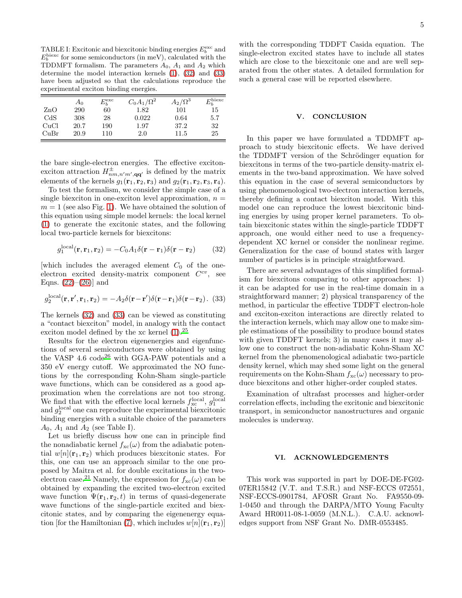TABLE I: Excitonic and biexcitonic binding energies  $E_b^{\text{exc}}$  and  $E_b^{\text{biexc}}$  for some semiconductors (in meV), calculated with the TDDMFT formalism. The parameters  $A_0$ ,  $A_1$  and  $A_2$  which determine the model interaction kernels [\(1\)](#page-0-1), [\(32\)](#page-4-0) and [\(33\)](#page-4-1) have been adjusted so that the calculations reproduce the experimental exciton binding energies.

|           | Aο   | $E_b^{\rm exc}$ | $C_0A_1/\Omega^2$ | $A_2/\Omega^3$ | $E_b^{\rm{biexc}}$ |
|-----------|------|-----------------|-------------------|----------------|--------------------|
| $\rm ZnO$ | 290  | 60              | 1.82              | 101            | 15                 |
| CdS       | 308  | 28              | 0.022             | 0.64           | 5.7                |
| CuCl      | 20.7 | 190             | 1.97              | 37.2           | 32                 |
| CuBr      | 20.9 | 110             | 2.0               | 11.5           | 25                 |

the bare single-electron energies. The effective excitonexciton attraction  $H^{\pm}_{nm,n'm',qq'}$  is defined by the matrix elements of the kernels  $g_1(\mathbf{r}_1, \mathbf{r}_2, \mathbf{r}_3)$  and  $g_2(\mathbf{r}_1, \mathbf{r}_2, \mathbf{r}_3, \mathbf{r}_4)$ .

To test the formalism, we consider the simple case of a single biexciton in one-exciton level approximation,  $n =$  $m = 1$  (see also Fig. [1\)](#page-2-2). We have obtained the solution of this equation using simple model kernels: the local kernel [\(1\)](#page-0-1) to generate the excitonic states, and the following local two-particle kernels for biexcitons:

<span id="page-4-0"></span>
$$
g_1^{\text{local}}(\mathbf{r}, \mathbf{r}_1, \mathbf{r}_2) = -C_0 A_1 \delta(\mathbf{r} - \mathbf{r}_1) \delta(\mathbf{r} - \mathbf{r}_2) \tag{32}
$$

[which includes the averaged element  $C_0$  of the oneelectron excited density-matrix component  $C^{cv}$ , see Eqns.  $(22)–(26)$  $(22)–(26)$ ] and

<span id="page-4-1"></span>
$$
g_2^{\text{local}}(\mathbf{r}, \mathbf{r}', \mathbf{r}_1, \mathbf{r}_2) = -A_2 \delta(\mathbf{r} - \mathbf{r}') \delta(\mathbf{r} - \mathbf{r}_1) \delta(\mathbf{r} - \mathbf{r}_2). \tag{33}
$$

The kernels [\(32\)](#page-4-0) and [\(33\)](#page-4-1) can be viewed as constituting a "contact biexciton" model, in analogy with the contact exciton model defined by the xc kernel [\(1\)](#page-0-1).[25](#page-5-24)

Results for the electron eigenenergies and eigenfunctions of several semiconductors were obtained by using the VASP  $4.6 \text{ code}^{26}$  $4.6 \text{ code}^{26}$  $4.6 \text{ code}^{26}$  with GGA-PAW potentials and a 350 eV energy cutoff. We approximated the NO functions by the corresponding Kohn-Sham single-particle wave functions, which can be considered as a good approximation when the correlations are not too strong. We find that with the effective local kernels  $f_{\text{xc}}^{\text{local}}$ ,  $g_1^{\text{local}}$ and  $g_2^{\text{local}}$  one can reproduce the experimental biexcitonic binding energies with a suitable choice of the parameters  $A_0$ ,  $A_1$  and  $A_2$  (see Table I).

Let us briefly discuss how one can in principle find the nonadiabatic kernel  $f_{\text{xc}}(\omega)$  from the adiabatic potential  $w[n](\mathbf{r}_1, \mathbf{r}_2)$  which produces biexcitonic states. For this, one can use an approach similar to the one proposed by Maitra et al. for double excitations in the two-electron case.<sup>[21](#page-5-20)</sup> Namely, the expression for  $f_{\text{xc}}(\omega)$  can be obtained by expanding the excited two-electron excited wave function  $\Psi(\mathbf{r}_1, \mathbf{r}_2, t)$  in terms of quasi-degenerate wave functions of the single-particle excited and biexcitonic states, and by comparing the eigenenergy equa-tion [for the Hamiltonian [\(7\)](#page-1-2), which includes  $w[n](\mathbf{r}_1, \mathbf{r}_2)$ ]

with the corresponding TDDFT Casida equation. The single-electron excited states have to include all states which are close to the biexcitonic one and are well separated from the other states. A detailed formulation for such a general case will be reported elsewhere.

# V. CONCLUSION

In this paper we have formulated a TDDMFT approach to study biexcitonic effects. We have derived the TDDMFT version of the Schrödinger equation for biexcitons in terms of the two-particle density-matrix elements in the two-band approximation. We have solved this equation in the case of several semiconductors by using phenomenological two-electron interaction kernels, thereby defining a contact biexciton model. With this model one can reproduce the lowest biexcitonic binding energies by using proper kernel parameters. To obtain biexcitonic states within the single-particle TDDFT approach, one would either need to use a frequencydependent XC kernel or consider the nonlinear regime. Generalization for the case of bound states with larger number of particles is in principle straightforward.

There are several advantages of this simplified formalism for biexcitons comparing to other approaches: 1) it can be adapted for use in the real-time domain in a straightforward manner; 2) physical transparency of the method, in particular the effective TDDFT electron-hole and exciton-exciton interactions are directly related to the interaction kernels, which may allow one to make simple estimations of the possibility to produce bound states with given TDDFT kernels; 3) in many cases it may allow one to construct the non-adiabatic Kohn-Sham XC kernel from the phenomenological adiabatic two-particle density kernel, which may shed some light on the general requirements on the Kohn-Sham  $f_{\text{xc}}(\omega)$  necessary to produce biexcitons and other higher-order coupled states.

Examination of ultrafast processes and higher-order correlation effects, including the excitonic and biexcitonic transport, in semiconductor nanostructures and organic molecules is underway.

#### VI. ACKNOWLEDGEMENTS

This work was supported in part by DOE-DE-FG02- 07ER15842 (V.T. and T.S.R.) and NSF-ECCS 072551, NSF-ECCS-0901784, AFOSR Grant No. FA9550-09- 1-0450 and through the DARPA/MTO Young Faculty Award HR0011-08-1-0059 (M.N.L.). C.A.U. acknowledges support from NSF Grant No. DMR-0553485.